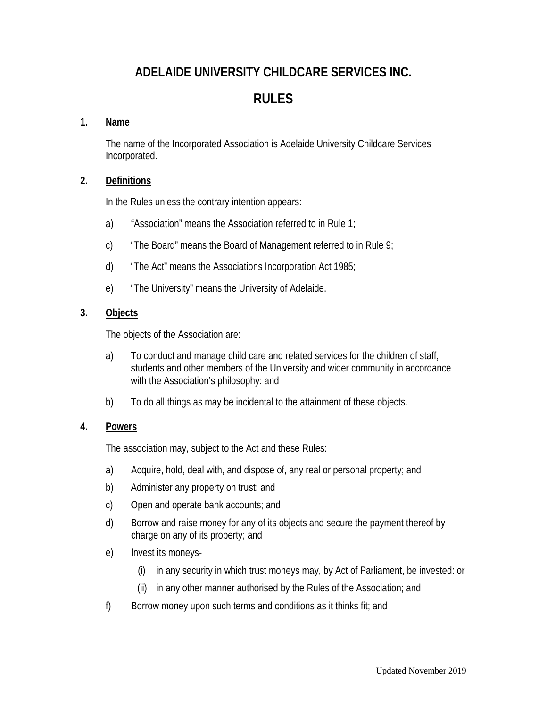# **ADELAIDE UNIVERSITY CHILDCARE SERVICES INC.**

## **RULES**

## **1. Name**

The name of the Incorporated Association is Adelaide University Childcare Services Incorporated.

### **2. Definitions**

In the Rules unless the contrary intention appears:

- a) "Association" means the Association referred to in Rule 1;
- c) "The Board" means the Board of Management referred to in Rule 9;
- d) "The Act" means the Associations Incorporation Act 1985;
- e) "The University" means the University of Adelaide.

#### **3. Objects**

The objects of the Association are:

- a) To conduct and manage child care and related services for the children of staff, students and other members of the University and wider community in accordance with the Association's philosophy: and
- b) To do all things as may be incidental to the attainment of these objects.

## **4. Powers**

The association may, subject to the Act and these Rules:

- a) Acquire, hold, deal with, and dispose of, any real or personal property; and
- b) Administer any property on trust; and
- c) Open and operate bank accounts; and
- d) Borrow and raise money for any of its objects and secure the payment thereof by charge on any of its property; and
- e) Invest its moneys-
	- (i) in any security in which trust moneys may, by Act of Parliament, be invested: or
	- (ii) in any other manner authorised by the Rules of the Association; and
- f) Borrow money upon such terms and conditions as it thinks fit; and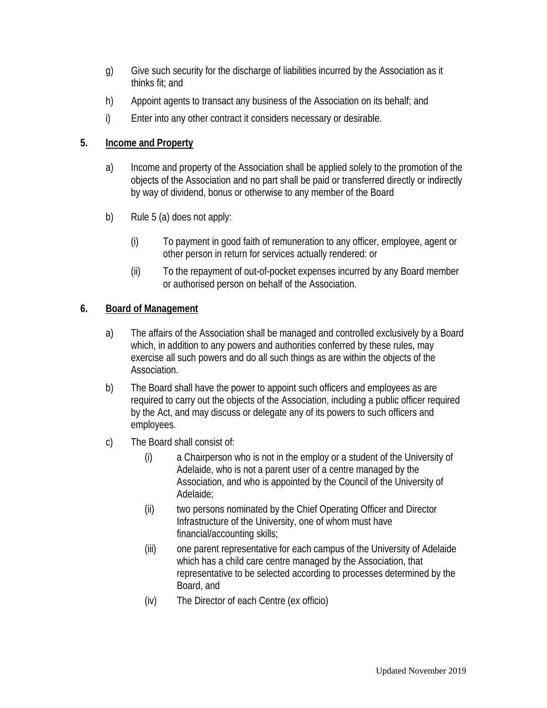- g) Give such security for the discharge of liabilities incurred by the Association as it thinks fit; and
- h) Appoint agents to transact any business of the Association on its behalf; and
- i) Enter into any other contract it considers necessary or desirable.

### **5. Income and Property**

- a) Income and property of the Association shall be applied solely to the promotion of the objects of the Association and no part shall be paid or transferred directly or indirectly by way of dividend, bonus or otherwise to any member of the Board
- b) Rule 5 (a) does not apply:
	- (i) To payment in good faith of remuneration to any officer, employee, agent or other person in return for services actually rendered: or
	- (ii) To the repayment of out-of-pocket expenses incurred by any Board member or authorised person on behalf of the Association.

## **6. Board of Management**

- a) The affairs of the Association shall be managed and controlled exclusively by a Board which, in addition to any powers and authorities conferred by these rules, may exercise all such powers and do all such things as are within the objects of the Association.
- b) The Board shall have the power to appoint such officers and employees as are required to carry out the objects of the Association, including a public officer required by the Act, and may discuss or delegate any of its powers to such officers and employees.
- c) The Board shall consist of:
	- (i) a Chairperson who is not in the employ or a student of the University of Adelaide, who is not a parent user of a centre managed by the Association, and who is appointed by the Council of the University of Adelaide;
	- (ii) two persons nominated by the Chief Operating Officer and Director Infrastructure of the University, one of whom must have financial/accounting skills;
	- (iii) one parent representative for each campus of the University of Adelaide which has a child care centre managed by the Association, that representative to be selected according to processes determined by the Board, and
	- (iv) The Director of each Centre (ex officio)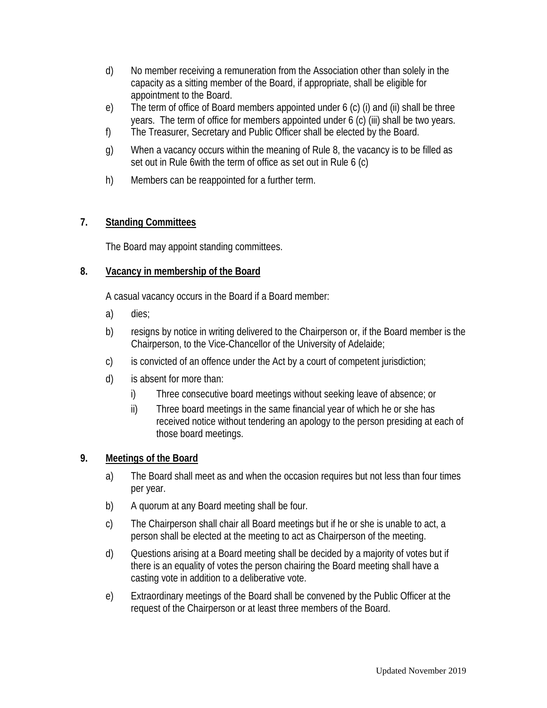- d) No member receiving a remuneration from the Association other than solely in the capacity as a sitting member of the Board, if appropriate, shall be eligible for appointment to the Board.
- e) The term of office of Board members appointed under 6 (c) (i) and (ii) shall be three years. The term of office for members appointed under 6 (c) (iii) shall be two years.
- f) The Treasurer, Secretary and Public Officer shall be elected by the Board.
- g) When a vacancy occurs within the meaning of Rule 8, the vacancy is to be filled as set out in Rule 6with the term of office as set out in Rule 6 (c)
- h) Members can be reappointed for a further term.

## **7. Standing Committees**

The Board may appoint standing committees.

## **8. Vacancy in membership of the Board**

A casual vacancy occurs in the Board if a Board member:

- a) dies;
- b) resigns by notice in writing delivered to the Chairperson or, if the Board member is the Chairperson, to the Vice-Chancellor of the University of Adelaide;
- c) is convicted of an offence under the Act by a court of competent jurisdiction;
- d) is absent for more than:
	- i) Three consecutive board meetings without seeking leave of absence; or
	- ii) Three board meetings in the same financial year of which he or she has received notice without tendering an apology to the person presiding at each of those board meetings.

## **9. Meetings of the Board**

- a) The Board shall meet as and when the occasion requires but not less than four times per year.
- b) A quorum at any Board meeting shall be four.
- c) The Chairperson shall chair all Board meetings but if he or she is unable to act, a person shall be elected at the meeting to act as Chairperson of the meeting.
- d) Questions arising at a Board meeting shall be decided by a majority of votes but if there is an equality of votes the person chairing the Board meeting shall have a casting vote in addition to a deliberative vote.
- e) Extraordinary meetings of the Board shall be convened by the Public Officer at the request of the Chairperson or at least three members of the Board.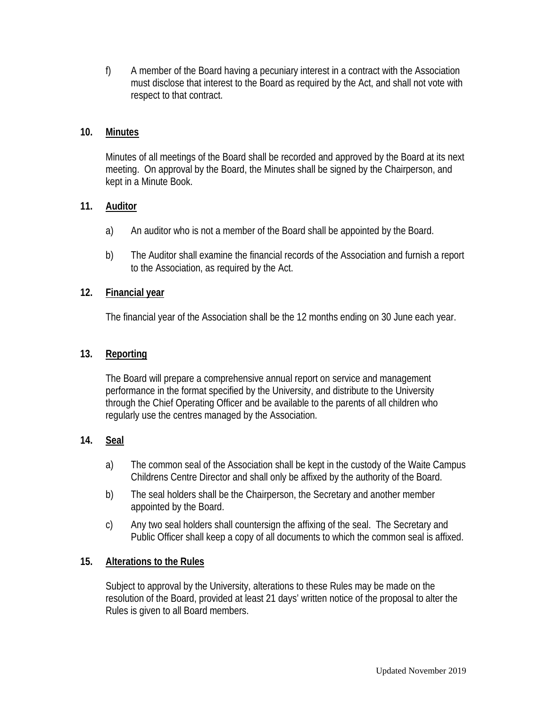f) A member of the Board having a pecuniary interest in a contract with the Association must disclose that interest to the Board as required by the Act, and shall not vote with respect to that contract.

#### **10. Minutes**

Minutes of all meetings of the Board shall be recorded and approved by the Board at its next meeting. On approval by the Board, the Minutes shall be signed by the Chairperson, and kept in a Minute Book.

#### **11. Auditor**

- a) An auditor who is not a member of the Board shall be appointed by the Board.
- b) The Auditor shall examine the financial records of the Association and furnish a report to the Association, as required by the Act.

#### **12. Financial year**

The financial year of the Association shall be the 12 months ending on 30 June each year.

#### **13. Reporting**

The Board will prepare a comprehensive annual report on service and management performance in the format specified by the University, and distribute to the University through the Chief Operating Officer and be available to the parents of all children who regularly use the centres managed by the Association.

## **14. Seal**

- a) The common seal of the Association shall be kept in the custody of the Waite Campus Childrens Centre Director and shall only be affixed by the authority of the Board.
- b) The seal holders shall be the Chairperson, the Secretary and another member appointed by the Board.
- c) Any two seal holders shall countersign the affixing of the seal. The Secretary and Public Officer shall keep a copy of all documents to which the common seal is affixed.

#### **15. Alterations to the Rules**

Subject to approval by the University, alterations to these Rules may be made on the resolution of the Board, provided at least 21 days' written notice of the proposal to alter the Rules is given to all Board members.